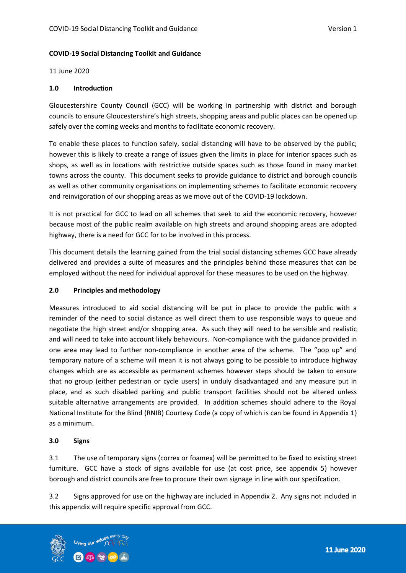#### **COVID-19 Social Distancing Toolkit and Guidance**

11 June 2020

### **1.0 Introduction**

Gloucestershire County Council (GCC) will be working in partnership with district and borough councils to ensure Gloucestershire's high streets, shopping areas and public places can be opened up safely over the coming weeks and months to facilitate economic recovery.

To enable these places to function safely, social distancing will have to be observed by the public; however this is likely to create a range of issues given the limits in place for interior spaces such as shops, as well as in locations with restrictive outside spaces such as those found in many market towns across the county. This document seeks to provide guidance to district and borough councils as well as other community organisations on implementing schemes to facilitate economic recovery and reinvigoration of our shopping areas as we move out of the COVID-19 lockdown.

It is not practical for GCC to lead on all schemes that seek to aid the economic recovery, however because most of the public realm available on high streets and around shopping areas are adopted highway, there is a need for GCC for to be involved in this process.

This document details the learning gained from the trial social distancing schemes GCC have already delivered and provides a suite of measures and the principles behind those measures that can be employed without the need for individual approval for these measures to be used on the highway.

## **2.0 Principles and methodology**

Measures introduced to aid social distancing will be put in place to provide the public with a reminder of the need to social distance as well direct them to use responsible ways to queue and negotiate the high street and/or shopping area. As such they will need to be sensible and realistic and will need to take into account likely behaviours. Non-compliance with the guidance provided in one area may lead to further non-compliance in another area of the scheme. The "pop up" and temporary nature of a scheme will mean it is not always going to be possible to introduce highway changes which are as accessible as permanent schemes however steps should be taken to ensure that no group (either pedestrian or cycle users) in unduly disadvantaged and any measure put in place, and as such disabled parking and public transport facilities should not be altered unless suitable alternative arrangements are provided. In addition schemes should adhere to the Royal National Institute for the Blind (RNIB) Courtesy Code (a copy of which is can be found in Appendix 1) as a minimum.

## **3.0 Signs**

3.1 The use of temporary signs (correx or foamex) will be permitted to be fixed to existing street furniture. GCC have a stock of signs available for use (at cost price, see appendix 5) however borough and district councils are free to procure their own signage in line with our specifcation.

3.2 Signs approved for use on the highway are included in Appendix 2. Any signs not included in this appendix will require specific approval from GCC.

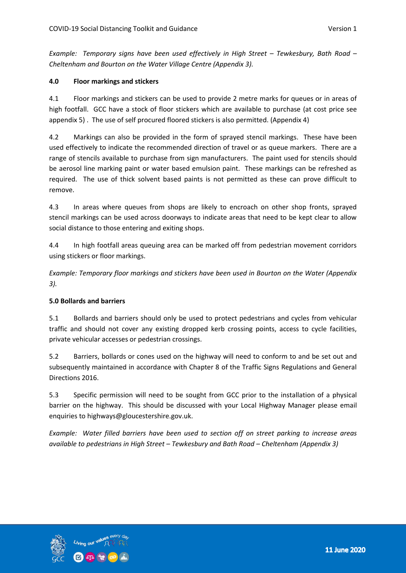*Example: Temporary signs have been used effectively in High Street – Tewkesbury, Bath Road – Cheltenham and Bourton on the Water Village Centre (Appendix 3).*

## **4.0 Floor markings and stickers**

4.1 Floor markings and stickers can be used to provide 2 metre marks for queues or in areas of high footfall. GCC have a stock of floor stickers which are available to purchase (at cost price see appendix 5) . The use of self procured floored stickers is also permitted. (Appendix 4)

4.2 Markings can also be provided in the form of sprayed stencil markings. These have been used effectively to indicate the recommended direction of travel or as queue markers. There are a range of stencils available to purchase from sign manufacturers. The paint used for stencils should be aerosol line marking paint or water based emulsion paint. These markings can be refreshed as required. The use of thick solvent based paints is not permitted as these can prove difficult to remove.

4.3 In areas where queues from shops are likely to encroach on other shop fronts, sprayed stencil markings can be used across doorways to indicate areas that need to be kept clear to allow social distance to those entering and exiting shops.

4.4 In high footfall areas queuing area can be marked off from pedestrian movement corridors using stickers or floor markings.

*Example: Temporary floor markings and stickers have been used in Bourton on the Water (Appendix 3).*

## **5.0 Bollards and barriers**

5.1 Bollards and barriers should only be used to protect pedestrians and cycles from vehicular traffic and should not cover any existing dropped kerb crossing points, access to cycle facilities, private vehicular accesses or pedestrian crossings.

5.2 Barriers, bollards or cones used on the highway will need to conform to and be set out and subsequently maintained in accordance with Chapter 8 of the Traffic Signs Regulations and General Directions 2016.

5.3 Specific permission will need to be sought from GCC prior to the installation of a physical barrier on the highway. This should be discussed with your Local Highway Manager please email enquiries to highways@gloucestershire.gov.uk.

*Example: Water filled barriers have been used to section off on street parking to increase areas available to pedestrians in High Street – Tewkesbury and Bath Road – Cheltenham (Appendix 3)*



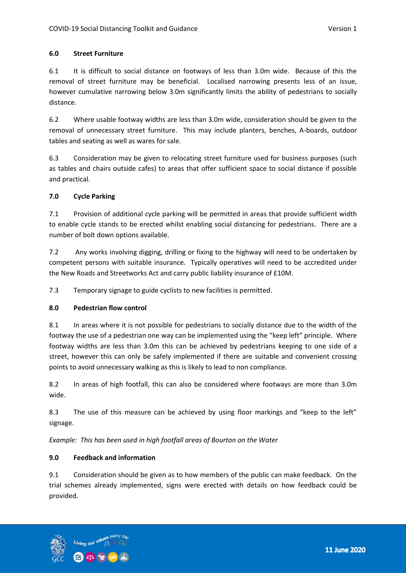# **6.0 Street Furniture**

6.1 It is difficult to social distance on footways of less than 3.0m wide. Because of this the removal of street furniture may be beneficial. Localised narrowing presents less of an issue, however cumulative narrowing below 3.0m significantly limits the ability of pedestrians to socially distance.

6.2 Where usable footway widths are less than 3.0m wide, consideration should be given to the removal of unnecessary street furniture. This may include planters, benches, A-boards, outdoor tables and seating as well as wares for sale.

6.3 Consideration may be given to relocating street furniture used for business purposes (such as tables and chairs outside cafes) to areas that offer sufficient space to social distance if possible and practical.

# **7.0 Cycle Parking**

7.1 Provision of additional cycle parking will be permitted in areas that provide sufficient width to enable cycle stands to be erected whilst enabling social distancing for pedestrians. There are a number of bolt down options available.

7.2 Any works involving digging, drilling or fixing to the highway will need to be undertaken by competent persons with suitable insurance. Typically operatives will need to be accredited under the New Roads and Streetworks Act and carry public liability insurance of £10M.

7.3 Temporary signage to guide cyclists to new facilities is permitted.

# **8.0 Pedestrian flow control**

8.1 In areas where it is not possible for pedestrians to socially distance due to the width of the footway the use of a pedestrian one way can be implemented using the "keep left" principle. Where footway widths are less than 3.0m this can be achieved by pedestrians keeping to one side of a street, however this can only be safely implemented if there are suitable and convenient crossing points to avoid unnecessary walking as this is likely to lead to non compliance.

8.2 In areas of high footfall, this can also be considered where footways are more than 3.0m wide.

8.3 The use of this measure can be achieved by using floor markings and "keep to the left" signage.

*Example: This has been used in high footfall areas of Bourton on the Water*

# **9.0 Feedback and information**

9.1 Consideration should be given as to how members of the public can make feedback. On the trial schemes already implemented, signs were erected with details on how feedback could be provided.

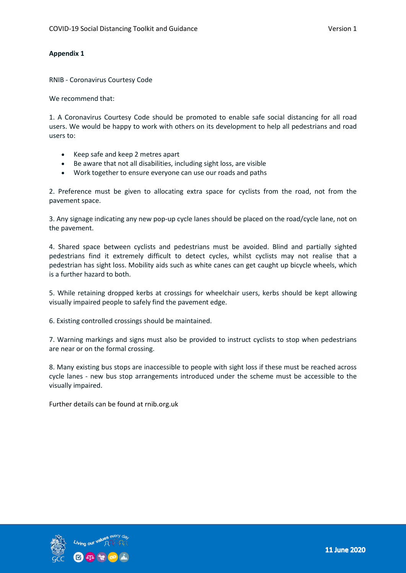RNIB - Coronavirus Courtesy Code

We recommend that:

1. A Coronavirus Courtesy Code should be promoted to enable safe social distancing for all road users. We would be happy to work with others on its development to help all pedestrians and road users to:

- Keep safe and keep 2 metres apart
- Be aware that not all disabilities, including sight loss, are visible
- Work together to ensure everyone can use our roads and paths

2. Preference must be given to allocating extra space for cyclists from the road, not from the pavement space.

3. Any signage indicating any new pop-up cycle lanes should be placed on the road/cycle lane, not on the pavement.

4. Shared space between cyclists and pedestrians must be avoided. Blind and partially sighted pedestrians find it extremely difficult to detect cycles, whilst cyclists may not realise that a pedestrian has sight loss. Mobility aids such as white canes can get caught up bicycle wheels, which is a further hazard to both.

5. While retaining dropped kerbs at crossings for wheelchair users, kerbs should be kept allowing visually impaired people to safely find the pavement edge.

6. Existing controlled crossings should be maintained.

7. Warning markings and signs must also be provided to instruct cyclists to stop when pedestrians are near or on the formal crossing.

8. Many existing bus stops are inaccessible to people with sight loss if these must be reached across cycle lanes - new bus stop arrangements introduced under the scheme must be accessible to the visually impaired.

Further details can be found at rnib.org.uk

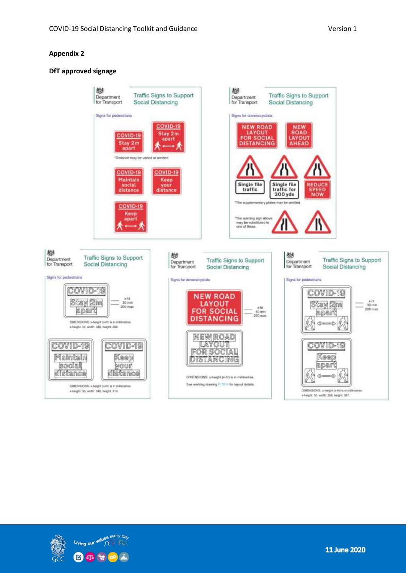#### **DfT approved signage**



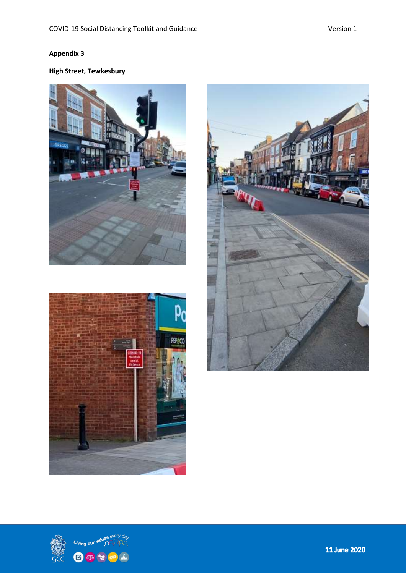# **High Street, Tewkesbury**







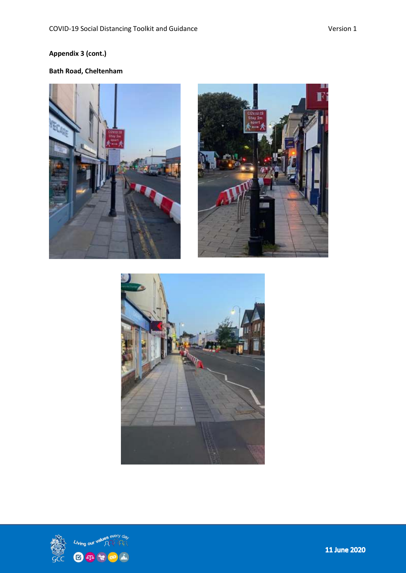# **Appendix 3 (cont.)**

# **Bath Road, Cheltenham**







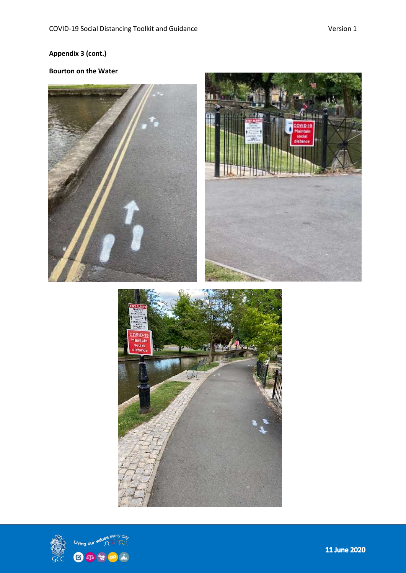# **Appendix 3 (cont.)**

# **Bourton on the Water**







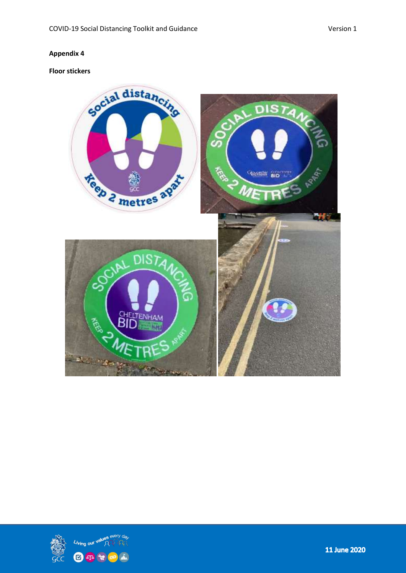## **Floor stickers**